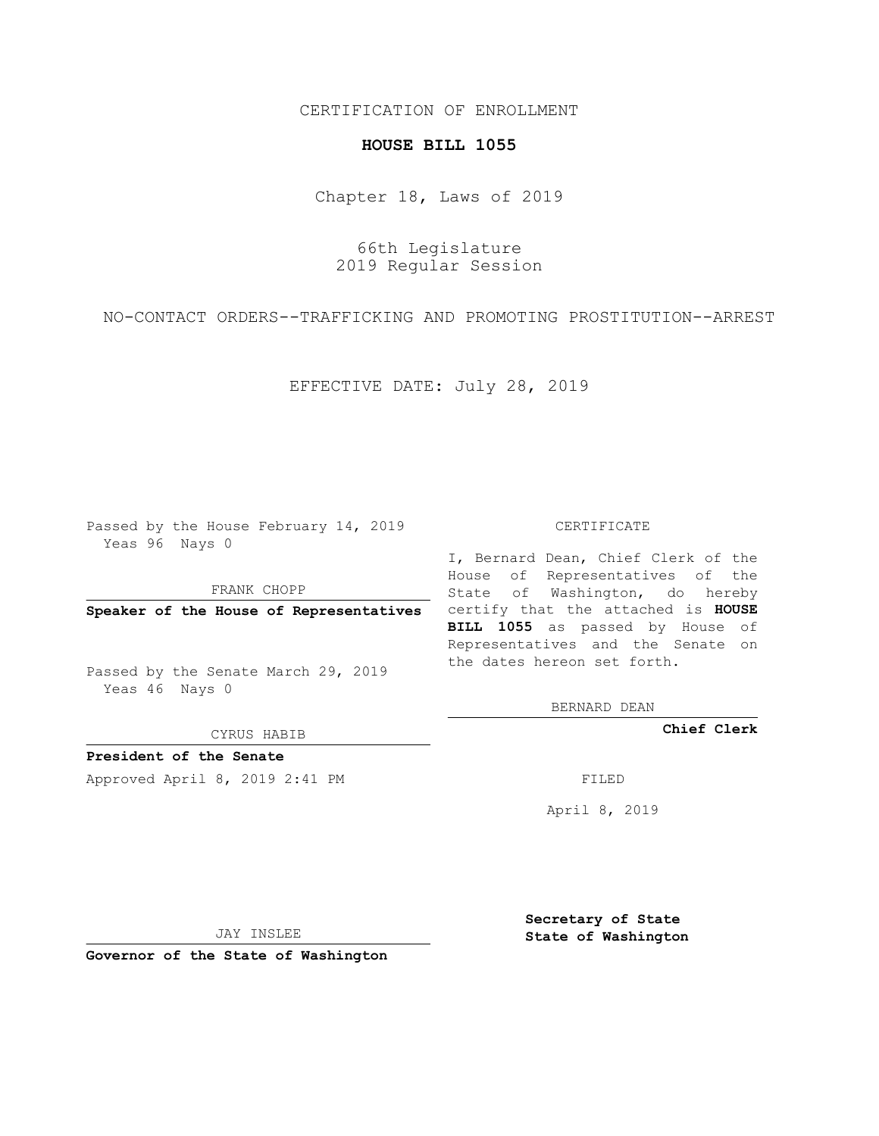## CERTIFICATION OF ENROLLMENT

## **HOUSE BILL 1055**

Chapter 18, Laws of 2019

66th Legislature 2019 Regular Session

NO-CONTACT ORDERS--TRAFFICKING AND PROMOTING PROSTITUTION--ARREST

EFFECTIVE DATE: July 28, 2019

Passed by the House February 14, 2019 Yeas 96 Nays 0

FRANK CHOPP

Passed by the Senate March 29, 2019 Yeas 46 Nays 0

CYRUS HABIB

**President of the Senate**

Approved April 8, 2019 2:41 PM FILED

#### CERTIFICATE

**Speaker of the House of Representatives** certify that the attached is **HOUSE** I, Bernard Dean, Chief Clerk of the House of Representatives of the State of Washington, do hereby **BILL 1055** as passed by House of Representatives and the Senate on the dates hereon set forth.

BERNARD DEAN

**Chief Clerk**

April 8, 2019

JAY INSLEE

**Governor of the State of Washington**

**Secretary of State State of Washington**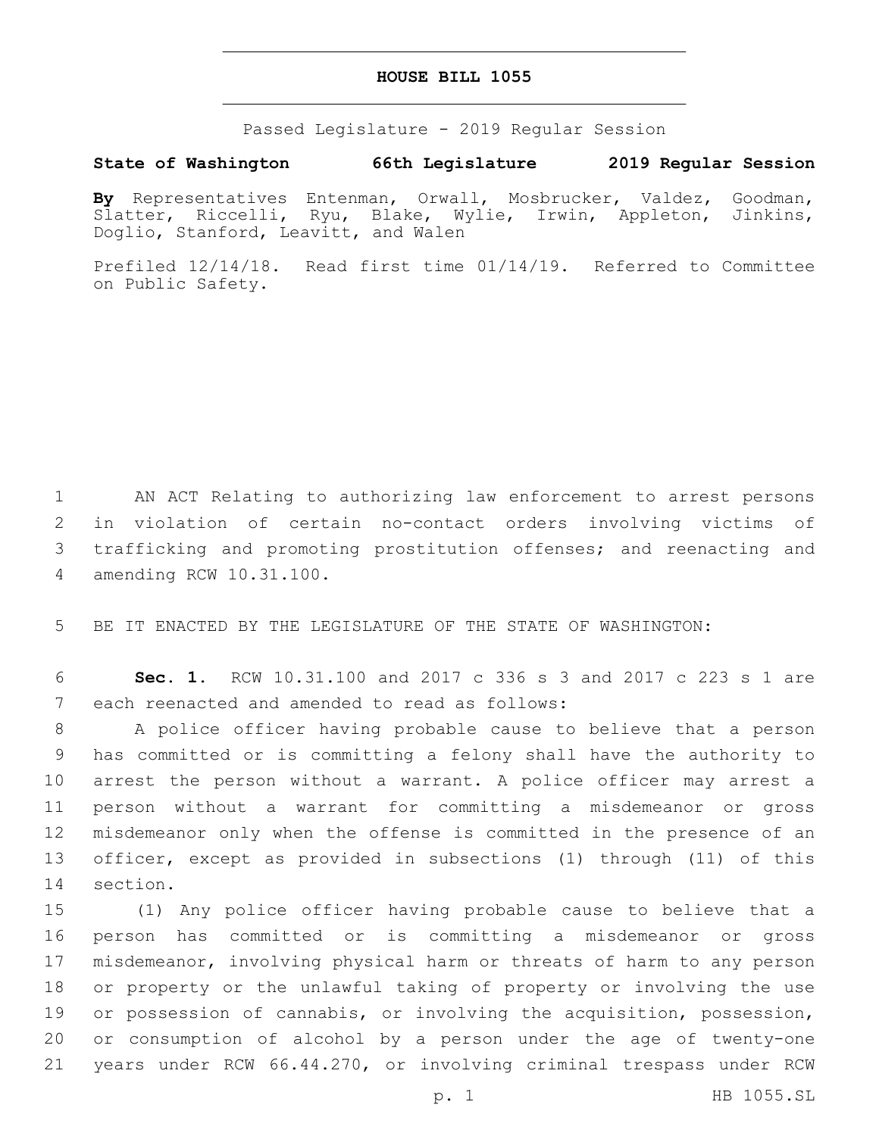### **HOUSE BILL 1055**

Passed Legislature - 2019 Regular Session

# **State of Washington 66th Legislature 2019 Regular Session**

**By** Representatives Entenman, Orwall, Mosbrucker, Valdez, Goodman, Slatter, Riccelli, Ryu, Blake, Wylie, Irwin, Appleton, Jinkins, Doglio, Stanford, Leavitt, and Walen

Prefiled 12/14/18. Read first time 01/14/19. Referred to Committee on Public Safety.

 AN ACT Relating to authorizing law enforcement to arrest persons in violation of certain no-contact orders involving victims of trafficking and promoting prostitution offenses; and reenacting and amending RCW 10.31.100.4

5 BE IT ENACTED BY THE LEGISLATURE OF THE STATE OF WASHINGTON:

6 **Sec. 1.** RCW 10.31.100 and 2017 c 336 s 3 and 2017 c 223 s 1 are 7 each reenacted and amended to read as follows:

 A police officer having probable cause to believe that a person has committed or is committing a felony shall have the authority to arrest the person without a warrant. A police officer may arrest a person without a warrant for committing a misdemeanor or gross misdemeanor only when the offense is committed in the presence of an officer, except as provided in subsections (1) through (11) of this 14 section.

 (1) Any police officer having probable cause to believe that a person has committed or is committing a misdemeanor or gross misdemeanor, involving physical harm or threats of harm to any person or property or the unlawful taking of property or involving the use or possession of cannabis, or involving the acquisition, possession, or consumption of alcohol by a person under the age of twenty-one years under RCW 66.44.270, or involving criminal trespass under RCW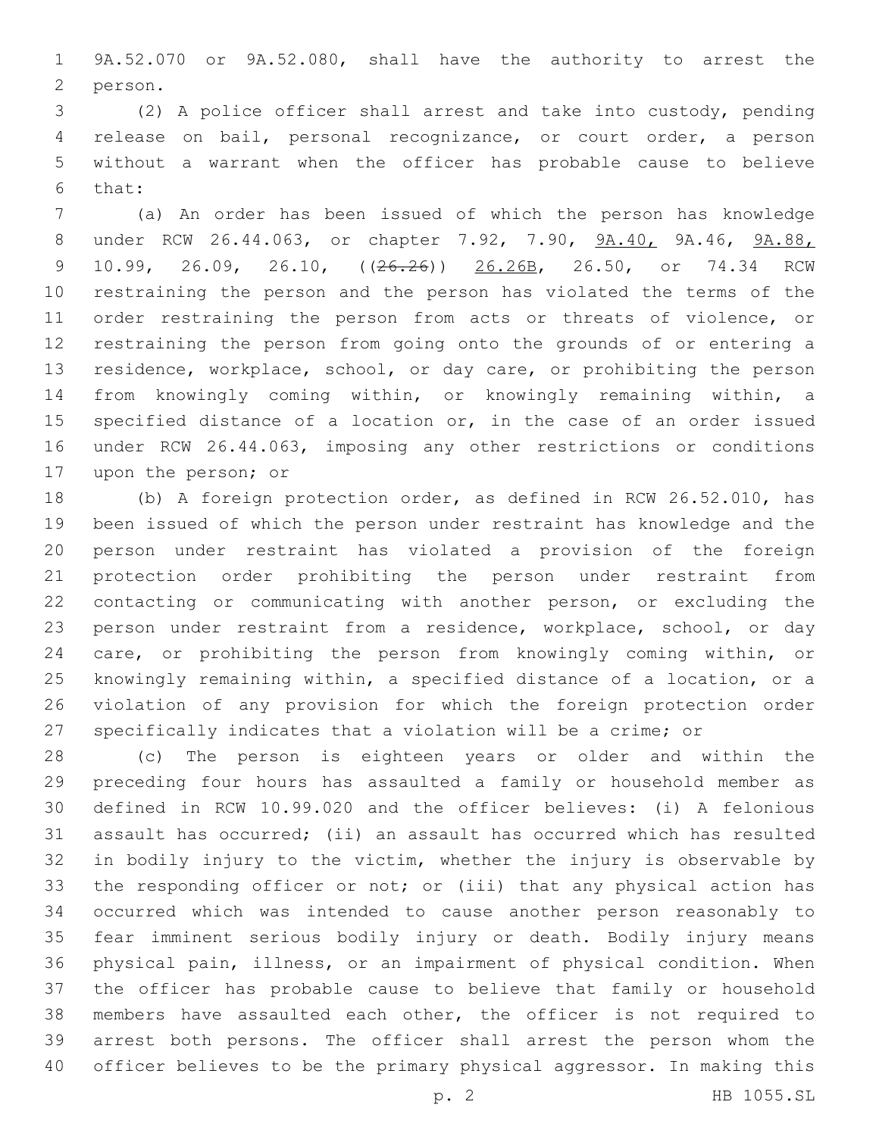9A.52.070 or 9A.52.080, shall have the authority to arrest the 2 person.

 (2) A police officer shall arrest and take into custody, pending release on bail, personal recognizance, or court order, a person without a warrant when the officer has probable cause to believe 6 that:

 (a) An order has been issued of which the person has knowledge under RCW 26.44.063, or chapter 7.92, 7.90, 9A.40, 9A.46, 9A.88, 9 10.99, 26.09, 26.10, ((26.26)) 26.26B, 26.50, or 74.34 RCW restraining the person and the person has violated the terms of the 11 order restraining the person from acts or threats of violence, or restraining the person from going onto the grounds of or entering a residence, workplace, school, or day care, or prohibiting the person from knowingly coming within, or knowingly remaining within, a 15 specified distance of a location or, in the case of an order issued under RCW 26.44.063, imposing any other restrictions or conditions 17 upon the person; or

 (b) A foreign protection order, as defined in RCW 26.52.010, has been issued of which the person under restraint has knowledge and the person under restraint has violated a provision of the foreign protection order prohibiting the person under restraint from contacting or communicating with another person, or excluding the person under restraint from a residence, workplace, school, or day care, or prohibiting the person from knowingly coming within, or knowingly remaining within, a specified distance of a location, or a violation of any provision for which the foreign protection order specifically indicates that a violation will be a crime; or

 (c) The person is eighteen years or older and within the preceding four hours has assaulted a family or household member as defined in RCW 10.99.020 and the officer believes: (i) A felonious assault has occurred; (ii) an assault has occurred which has resulted in bodily injury to the victim, whether the injury is observable by the responding officer or not; or (iii) that any physical action has occurred which was intended to cause another person reasonably to fear imminent serious bodily injury or death. Bodily injury means physical pain, illness, or an impairment of physical condition. When the officer has probable cause to believe that family or household members have assaulted each other, the officer is not required to arrest both persons. The officer shall arrest the person whom the officer believes to be the primary physical aggressor. In making this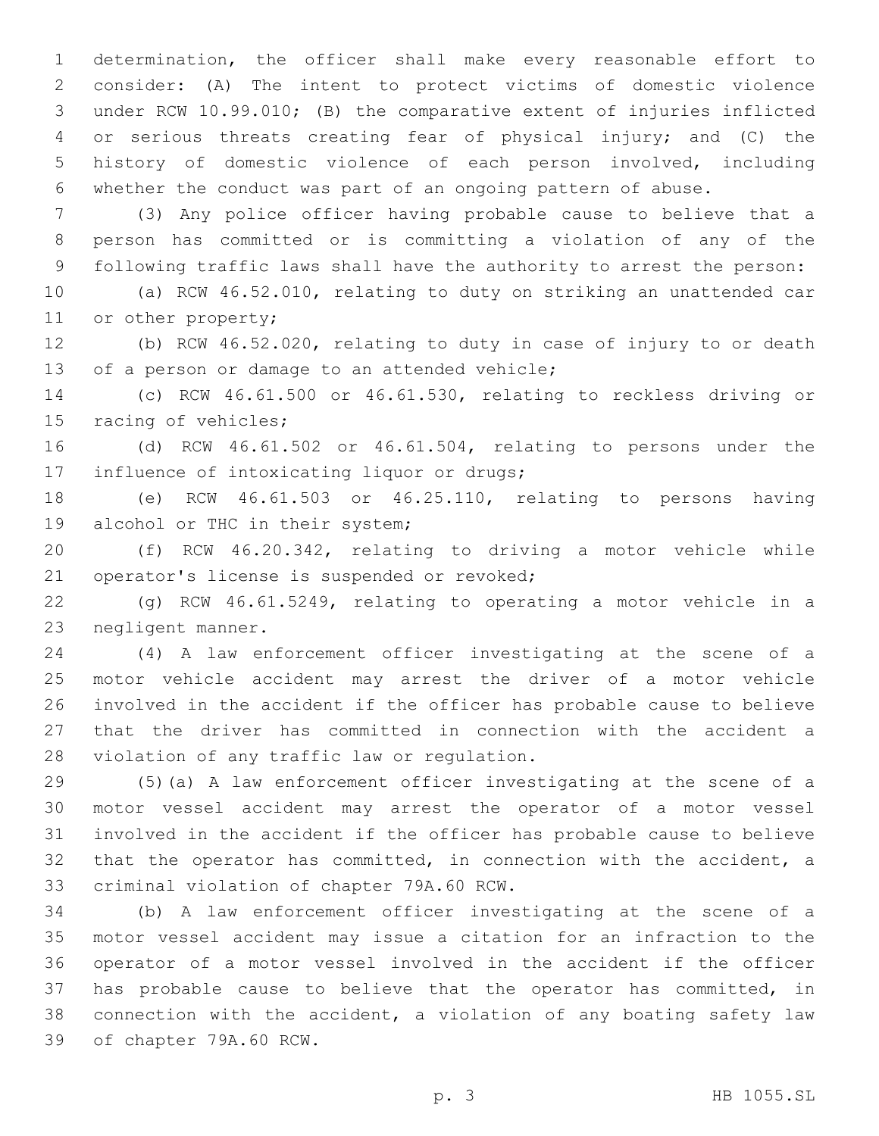determination, the officer shall make every reasonable effort to consider: (A) The intent to protect victims of domestic violence under RCW 10.99.010; (B) the comparative extent of injuries inflicted or serious threats creating fear of physical injury; and (C) the history of domestic violence of each person involved, including whether the conduct was part of an ongoing pattern of abuse.

 (3) Any police officer having probable cause to believe that a person has committed or is committing a violation of any of the following traffic laws shall have the authority to arrest the person:

 (a) RCW 46.52.010, relating to duty on striking an unattended car 11 or other property;

 (b) RCW 46.52.020, relating to duty in case of injury to or death 13 of a person or damage to an attended vehicle;

 (c) RCW 46.61.500 or 46.61.530, relating to reckless driving or 15 racing of vehicles;

 (d) RCW 46.61.502 or 46.61.504, relating to persons under the 17 influence of intoxicating liquor or drugs;

 (e) RCW 46.61.503 or 46.25.110, relating to persons having 19 alcohol or THC in their system;

 (f) RCW 46.20.342, relating to driving a motor vehicle while 21 operator's license is suspended or revoked;

 (g) RCW 46.61.5249, relating to operating a motor vehicle in a 23 negligent manner.

 (4) A law enforcement officer investigating at the scene of a motor vehicle accident may arrest the driver of a motor vehicle involved in the accident if the officer has probable cause to believe that the driver has committed in connection with the accident a 28 violation of any traffic law or regulation.

 (5)(a) A law enforcement officer investigating at the scene of a motor vessel accident may arrest the operator of a motor vessel involved in the accident if the officer has probable cause to believe that the operator has committed, in connection with the accident, a 33 criminal violation of chapter 79A.60 RCW.

 (b) A law enforcement officer investigating at the scene of a motor vessel accident may issue a citation for an infraction to the operator of a motor vessel involved in the accident if the officer has probable cause to believe that the operator has committed, in connection with the accident, a violation of any boating safety law 39 of chapter 79A.60 RCW.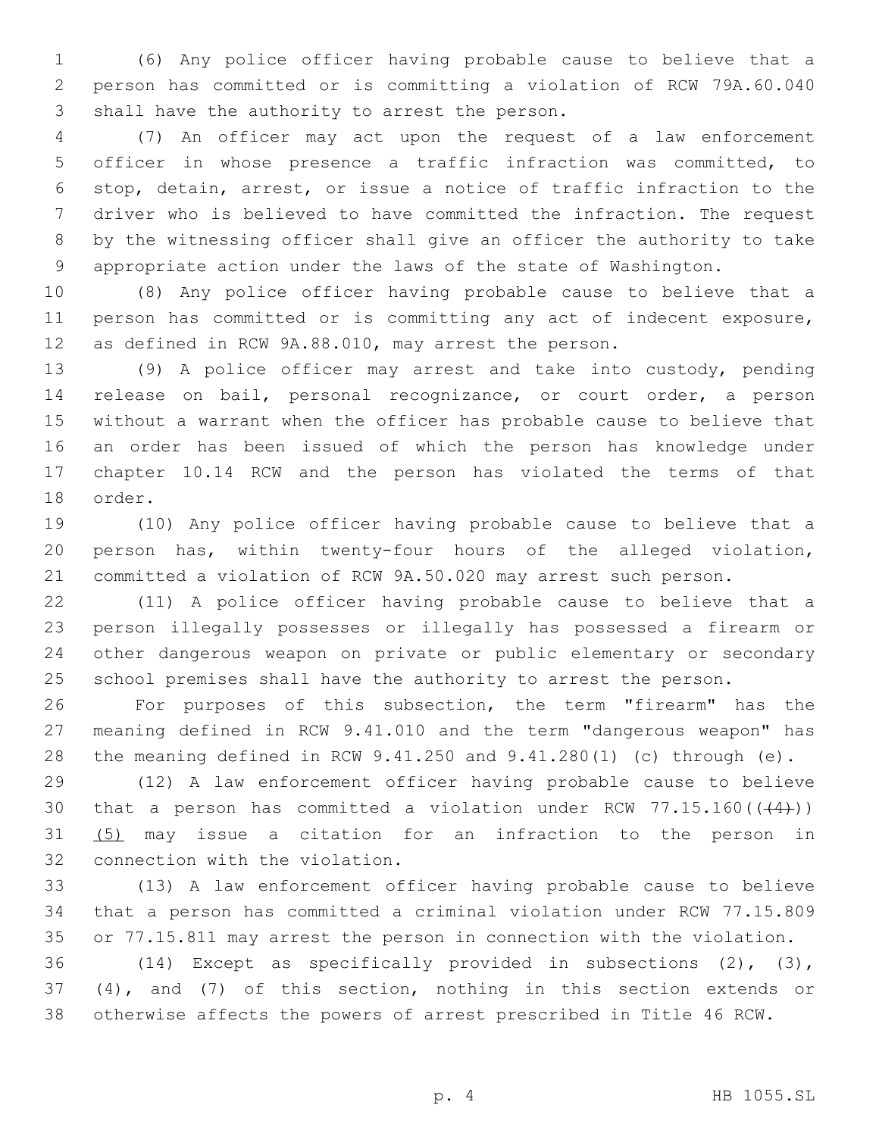(6) Any police officer having probable cause to believe that a person has committed or is committing a violation of RCW 79A.60.040 3 shall have the authority to arrest the person.

 (7) An officer may act upon the request of a law enforcement officer in whose presence a traffic infraction was committed, to stop, detain, arrest, or issue a notice of traffic infraction to the driver who is believed to have committed the infraction. The request by the witnessing officer shall give an officer the authority to take appropriate action under the laws of the state of Washington.

 (8) Any police officer having probable cause to believe that a person has committed or is committing any act of indecent exposure, as defined in RCW 9A.88.010, may arrest the person.

 (9) A police officer may arrest and take into custody, pending release on bail, personal recognizance, or court order, a person without a warrant when the officer has probable cause to believe that an order has been issued of which the person has knowledge under chapter 10.14 RCW and the person has violated the terms of that 18 order.

 (10) Any police officer having probable cause to believe that a person has, within twenty-four hours of the alleged violation, committed a violation of RCW 9A.50.020 may arrest such person.

 (11) A police officer having probable cause to believe that a person illegally possesses or illegally has possessed a firearm or other dangerous weapon on private or public elementary or secondary school premises shall have the authority to arrest the person.

 For purposes of this subsection, the term "firearm" has the meaning defined in RCW 9.41.010 and the term "dangerous weapon" has the meaning defined in RCW 9.41.250 and 9.41.280(1) (c) through (e).

 (12) A law enforcement officer having probable cause to believe 30 that a person has committed a violation under RCW  $77.15.160((44))$ ) (5) may issue a citation for an infraction to the person in 32 connection with the violation.

 (13) A law enforcement officer having probable cause to believe that a person has committed a criminal violation under RCW 77.15.809 or 77.15.811 may arrest the person in connection with the violation.

 (14) Except as specifically provided in subsections (2), (3), (4), and (7) of this section, nothing in this section extends or otherwise affects the powers of arrest prescribed in Title 46 RCW.